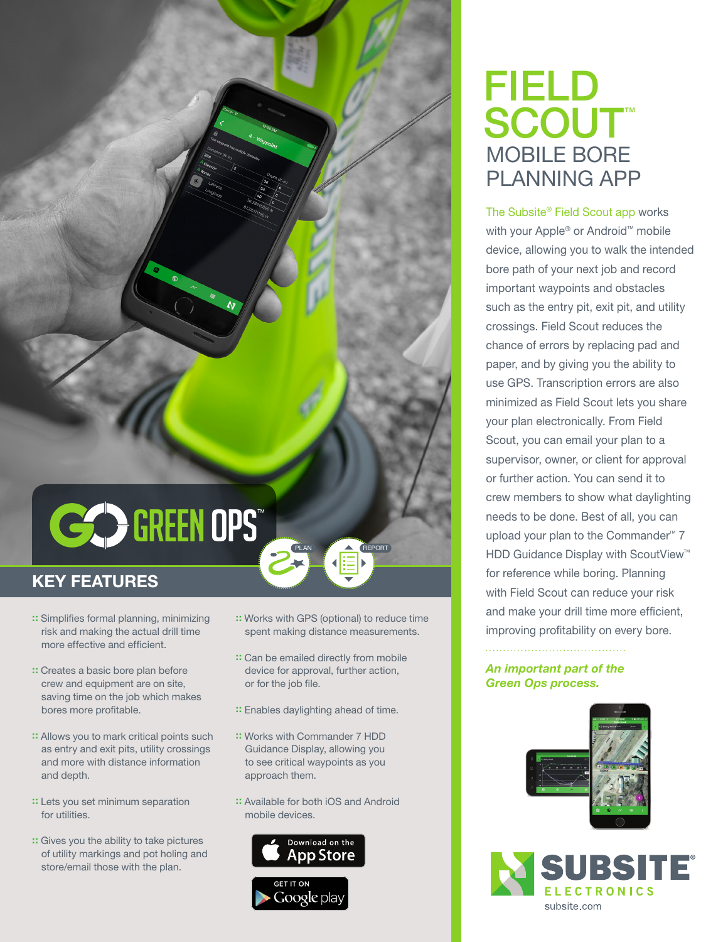

## KEY FEATURES

- :: Simplifies formal planning, minimizing risk and making the actual drill time more effective and efficient.
- :: Creates a basic bore plan before crew and equipment are on site, saving time on the job which makes bores more profitable.
- :: Allows you to mark critical points such as entry and exit pits, utility crossings and more with distance information and depth.
- :: Lets you set minimum separation for utilities.
- :: Gives you the ability to take pictures of utility markings and pot holing and store/email those with the plan.

:: Works with GPS (optional) to reduce time spent making distance measurements.

PLAN **A** REPORT

- :: Can be emailed directly from mobile device for approval, further action, or for the job file.
- :: Enables daylighting ahead of time.
- :: Works with Commander 7 HDD Guidance Display, allowing you to see critical waypoints as you approach them.
- :: Available for both iOS and Android mobile devices.



## FIELD SCOUT™ MOBILE BORE PLANNING APP

The Subsite® Field Scout app works with your Apple® or Android™ mobile device, allowing you to walk the intended bore path of your next job and record important waypoints and obstacles such as the entry pit, exit pit, and utility crossings. Field Scout reduces the chance of errors by replacing pad and paper, and by giving you the ability to use GPS. Transcription errors are also minimized as Field Scout lets you share your plan electronically. From Field Scout, you can email your plan to a supervisor, owner, or client for approval or further action. You can send it to crew members to show what daylighting needs to be done. Best of all, you can upload your plan to the Commander™ 7 HDD Guidance Display with ScoutView™ for reference while boring. Planning with Field Scout can reduce your risk and make your drill time more efficient, improving profitability on every bore.

*An important part of the Green Ops process.*